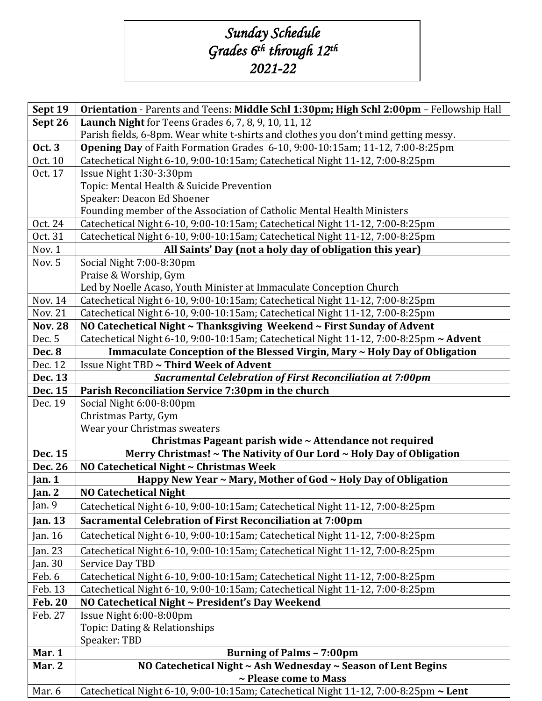## *Sunday Schedule Grades 6th through 12th 2021-22*

| Sept 19            | Orientation - Parents and Teens: Middle Schl 1:30pm; High Schl 2:00pm - Fellowship Hall       |
|--------------------|-----------------------------------------------------------------------------------------------|
| Sept 26            | Launch Night for Teens Grades 6, 7, 8, 9, 10, 11, 12                                          |
|                    | Parish fields, 6-8pm. Wear white t-shirts and clothes you don't mind getting messy.           |
| <b>Oct. 3</b>      | Opening Day of Faith Formation Grades 6-10, 9:00-10:15am; 11-12, 7:00-8:25pm                  |
| Oct. 10            | Catechetical Night 6-10, 9:00-10:15am; Catechetical Night 11-12, 7:00-8:25pm                  |
| Oct. 17            | Issue Night 1:30-3:30pm                                                                       |
|                    | Topic: Mental Health & Suicide Prevention                                                     |
|                    | Speaker: Deacon Ed Shoener                                                                    |
|                    | Founding member of the Association of Catholic Mental Health Ministers                        |
| Oct. 24            | Catechetical Night 6-10, 9:00-10:15am; Catechetical Night 11-12, 7:00-8:25pm                  |
| Oct. 31            | Catechetical Night 6-10, 9:00-10:15am; Catechetical Night 11-12, 7:00-8:25pm                  |
| Nov. 1             | All Saints' Day (not a holy day of obligation this year)                                      |
| Nov. 5             | Social Night 7:00-8:30pm                                                                      |
|                    | Praise & Worship, Gym<br>Led by Noelle Acaso, Youth Minister at Immaculate Conception Church  |
| Nov. 14            | Catechetical Night 6-10, 9:00-10:15am; Catechetical Night 11-12, 7:00-8:25pm                  |
| Nov. 21            | Catechetical Night 6-10, 9:00-10:15am; Catechetical Night 11-12, 7:00-8:25pm                  |
| <b>Nov. 28</b>     | NO Catechetical Night ~ Thanksgiving Weekend ~ First Sunday of Advent                         |
| Dec. 5             | Catechetical Night 6-10, 9:00-10:15am; Catechetical Night 11-12, 7:00-8:25pm ~ Advent         |
| <b>Dec. 8</b>      | Immaculate Conception of the Blessed Virgin, Mary ~ Holy Day of Obligation                    |
| Dec. 12            | Issue Night TBD ~ Third Week of Advent                                                        |
| Dec. 13            | <b>Sacramental Celebration of First Reconciliation at 7:00pm</b>                              |
| Dec. 15            | Parish Reconciliation Service 7:30pm in the church                                            |
| Dec. 19            | Social Night 6:00-8:00pm                                                                      |
|                    | Christmas Party, Gym                                                                          |
|                    | Wear your Christmas sweaters                                                                  |
|                    | Christmas Pageant parish wide ~ Attendance not required                                       |
| Dec. 15            | Merry Christmas! ~ The Nativity of Our Lord ~ Holy Day of Obligation                          |
| Dec. 26            | NO Catechetical Night ~ Christmas Week                                                        |
| Jan. $1$           | Happy New Year ~ Mary, Mother of God ~ Holy Day of Obligation<br><b>NO Catechetical Night</b> |
| Jan. 2<br>Jan. $9$ |                                                                                               |
|                    | Catechetical Night 6-10, 9:00-10:15am; Catechetical Night 11-12, 7:00-8:25pm                  |
| <b>Jan. 13</b>     | Sacramental Celebration of First Reconciliation at 7:00pm                                     |
| Jan. 16            | Catechetical Night 6-10, 9:00-10:15am; Catechetical Night 11-12, 7:00-8:25pm                  |
| Jan. 23            | Catechetical Night 6-10, 9:00-10:15am; Catechetical Night 11-12, 7:00-8:25pm                  |
| Jan. 30            | Service Day TBD                                                                               |
| Feb. 6             | Catechetical Night 6-10, 9:00-10:15am; Catechetical Night 11-12, 7:00-8:25pm                  |
| Feb. 13            | Catechetical Night 6-10, 9:00-10:15am; Catechetical Night 11-12, 7:00-8:25pm                  |
| <b>Feb. 20</b>     | NO Catechetical Night ~ President's Day Weekend                                               |
| Feb. 27            | Issue Night 6:00-8:00pm<br>Topic: Dating & Relationships                                      |
|                    | Speaker: TBD                                                                                  |
|                    |                                                                                               |
|                    |                                                                                               |
| Mar. 1             | <b>Burning of Palms - 7:00pm</b>                                                              |
| Mar. 2             | NO Catechetical Night ~ Ash Wednesday ~ Season of Lent Begins<br>~ Please come to Mass        |